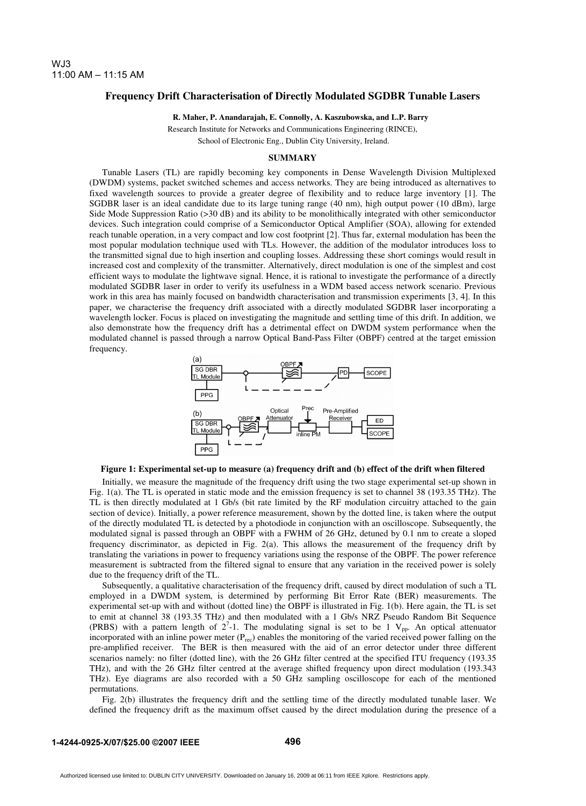## **Frequency Drift Characterisation of Directly Modulated SGDBR Tunable Lasers**

**R. Maher, P. Anandarajah, E. Connolly, A. Kaszubowska, and L.P. Barry** 

Research Institute for Networks and Communications Engineering (RINCE),

School of Electronic Eng., Dublin City University, Ireland.

## **SUMMARY**

Tunable Lasers (TL) are rapidly becoming key components in Dense Wavelength Division Multiplexed (DWDM) systems, packet switched schemes and access networks. They are being introduced as alternatives to fixed wavelength sources to provide a greater degree of flexibility and to reduce large inventory [1]. The SGDBR laser is an ideal candidate due to its large tuning range (40 nm), high output power (10 dBm), large Side Mode Suppression Ratio (>30 dB) and its ability to be monolithically integrated with other semiconductor devices. Such integration could comprise of a Semiconductor Optical Amplifier (SOA), allowing for extended reach tunable operation, in a very compact and low cost footprint [2]. Thus far, external modulation has been the most popular modulation technique used with TLs. However, the addition of the modulator introduces loss to the transmitted signal due to high insertion and coupling losses. Addressing these short comings would result in increased cost and complexity of the transmitter. Alternatively, direct modulation is one of the simplest and cost efficient ways to modulate the lightwave signal. Hence, it is rational to investigate the performance of a directly modulated SGDBR laser in order to verify its usefulness in a WDM based access network scenario. Previous work in this area has mainly focused on bandwidth characterisation and transmission experiments [3, 4]. In this paper, we characterise the frequency drift associated with a directly modulated SGDBR laser incorporating a wavelength locker. Focus is placed on investigating the magnitude and settling time of this drift. In addition, we also demonstrate how the frequency drift has a detrimental effect on DWDM system performance when the modulated channel is passed through a narrow Optical Band-Pass Filter (OBPF) centred at the target emission frequency.



**Figure 1: Experimental set-up to measure (a) frequency drift and (b) effect of the drift when filtered**

Initially, we measure the magnitude of the frequency drift using the two stage experimental set-up shown in Fig. 1(a). The TL is operated in static mode and the emission frequency is set to channel 38 (193.35 THz). The TL is then directly modulated at 1 Gb/s (bit rate limited by the RF modulation circuitry attached to the gain section of device). Initially, a power reference measurement, shown by the dotted line, is taken where the output of the directly modulated TL is detected by a photodiode in conjunction with an oscilloscope. Subsequently, the modulated signal is passed through an OBPF with a FWHM of 26 GHz, detuned by 0.1 nm to create a sloped frequency discriminator, as depicted in Fig. 2(a). This allows the measurement of the frequency drift by translating the variations in power to frequency variations using the response of the OBPF. The power reference measurement is subtracted from the filtered signal to ensure that any variation in the received power is solely due to the frequency drift of the TL.

Subsequently, a qualitative characterisation of the frequency drift, caused by direct modulation of such a TL employed in a DWDM system, is determined by performing Bit Error Rate (BER) measurements. The experimental set-up with and without (dotted line) the OBPF is illustrated in Fig. 1(b). Here again, the TL is set to emit at channel 38 (193.35 THz) and then modulated with a 1 Gb/s NRZ Pseudo Random Bit Sequence (PRBS) with a pattern length of  $2^7$ -1. The modulating signal is set to be 1 V<sub>pp</sub>. An optical attenuator incorporated with an inline power meter  $(P_{rec})$  enables the monitoring of the varied received power falling on the pre-amplified receiver. The BER is then measured with the aid of an error detector under three different scenarios namely: no filter (dotted line), with the 26 GHz filter centred at the specified ITU frequency (193.35 THz), and with the 26 GHz filter centred at the average shifted frequency upon direct modulation (193.343 THz). Eye diagrams are also recorded with a 50 GHz sampling oscilloscope for each of the mentioned permutations.

Fig. 2(b) illustrates the frequency drift and the settling time of the directly modulated tunable laser. We defined the frequency drift as the maximum offset caused by the direct modulation during the presence of a

**496**